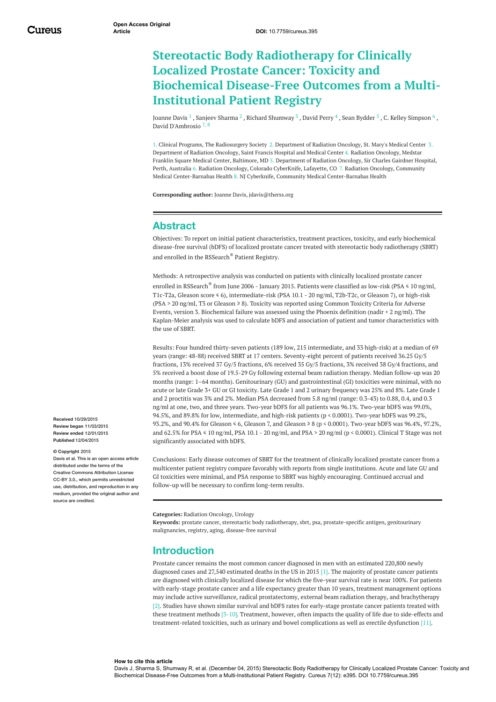# **Stereotactic Body Radiotherapy for Clinically Localized Prostate Cancer: Toxicity and Biochemical Disease-Free Outcomes from a Multi-Institutional Patient Registry**

[Joanne](https://www.cureus.com/users/16819-joanne-davis) Davis  $^1$  , [Sanjeev](https://www.cureus.com/users/20732-sanjeev-sharma) Sharma  $^2$  , Richard [Shumway](https://www.cureus.com/users/20731-richard-shumway)  $^3$  , [David](https://www.cureus.com/users/1191-david-perry) Perry  $^4$  , Sean [Bydder](https://www.cureus.com/users/20650-sean-bydder)  $^5$  , C. Kelley [Simpson](https://www.cureus.com/users/20649-c-kelley-simpson)  $^6$  , David [D'Ambrosio](https://www.cureus.com/users/1090-david-d-ambrosio) 7, 8

1. Clinical Programs, The Radiosurgery Society 2. Department of Radiation Oncology, St. Mary's Medical Center 3. Department of Radiation Oncology, Saint Francis Hospital and Medical Center 4. Radiation Oncology, Medstar Franklin Square Medical Center, Baltimore, MD 5. Department of Radiation Oncology, Sir Charles Gairdner Hospital, Perth, Australia 6. Radiation Oncology, Colorado CyberKnife, Lafayette, CO 7. Radiation Oncology, Community Medical Center-Barnabas Health 8. NJ Cyberknife, Community Medical Center-Barnabas Health

**Corresponding author:** Joanne Davis, jdavis@therss.org

### **Abstract**

Objectives: To report on initial patient characteristics, treatment practices, toxicity, and early biochemical disease-free survival (bDFS) of localized prostate cancer treated with stereotactic body radiotherapy (SBRT) and enrolled in the RSSearch ® Patient Registry.

Methods: A retrospective analysis was conducted on patients with clinically localized prostate cancer enrolled in RSSearch ® from June 2006 - January 2015. Patients were classified as low-risk (PSA ≤ 10 ng/ml, T1c-T2a, Gleason score ≤ 6), intermediate-risk (PSA 10.1 - 20 ng/ml, T2b-T2c, or Gleason 7), or high-risk (PSA > 20 ng/ml, T3 or Gleason ≥ 8). Toxicity was reported using Common Toxicity Criteria for Adverse Events, version 3. Biochemical failure was assessed using the Phoenix definition (nadir + 2 ng/ml). The Kaplan-Meier analysis was used to calculate bDFS and association of patient and tumor characteristics with the use of SBRT.

Results: Four hundred thirty-seven patients (189 low, 215 intermediate, and 33 high-risk) at a median of 69 years (range: 48-88) received SBRT at 17 centers. Seventy-eight percent of patients received 36.25 Gy/5 fractions, 13% received 37 Gy/5 fractions, 6% received 35 Gy/5 fractions, 3% received 38 Gy/4 fractions, and 5% received a boost dose of 19.5-29 Gy following external beam radiation therapy. Median follow-up was 20 months (range: 1–64 months). Genitourinary (GU) and gastrointestinal (GI) toxicities were minimal, with no acute or late Grade 3+ GU or GI toxicity. Late Grade 1 and 2 urinary frequency was 25% and 8%. Late Grade 1 and 2 proctitis was 3% and 2%. Median PSA decreased from 5.8 ng/ml (range: 0.3-43) to 0.88, 0.4, and 0.3 ng/ml at one, two, and three years. Two-year bDFS for all patients was 96.1%. Two-year bDFS was 99.0%, 94.5%, and 89.8% for low, intermediate, and high-risk patients (p < 0.0001). Two-year bDFS was 99.2%, 93.2%, and 90.4% for Gleason ≤ 6, Gleason 7, and Gleason ≥ 8 (p < 0.0001). Two-year bDFS was 96.4%, 97.2%, and 62.5% for PSA ≤ 10 ng/ml, PSA 10.1 - 20 ng/ml, and PSA > 20 ng/ml (p < 0.0001). Clinical T Stage was not significantly associated with bDFS.

Conclusions: Early disease outcomes of SBRT for the treatment of clinically localized prostate cancer from a multicenter patient registry compare favorably with reports from single institutions. Acute and late GU and GI toxicities were minimal, and PSA response to SBRT was highly encouraging. Continued accrual and follow-up will be necessary to confirm long-term results.

**Categories:** Radiation Oncology, Urology

**Keywords:** prostate cancer, stereotactic body radiotherapy, sbrt, psa, prostate-specific antigen, genitourinary malignancies, registry, aging, disease-free survival

#### **Introduction**

Prostate cancer remains the most common cancer diagnosed in men with an estimated 220,800 newly diagnosed cases and 27,540 estimated deaths in the US in 2015 [1]. The majority of prostate cancer patients are diagnosed with clinically localized disease for which the five-year survival rate is near 100%. For patients with early-stage prostate cancer and a life expectancy greater than 10 years, treatment management options may include active surveillance, radical prostatectomy, external beam radiation therapy, and brachytherapy [2]. Studies have shown similar survival and bDFS rates for early-stage prostate cancer patients treated with these treatment methods [3-10]. Treatment, however, often impacts the quality of life due to side-effects and treatment-related toxicities, such as urinary and bowel complications as well as erectile dysfunction [11].

**Received** 10/29/2015 **Review began** 11/03/2015 **Review ended** 12/01/2015 **Published** 12/04/2015

#### **© Copyright** 2015

Davis et al. This is an open access article distributed under the terms of the Creative Commons Attribution License CC-BY 3.0., which permits unrestricted use, distribution, and reproduction in any medium, provided the original author and source are credited

**How to cite this article**

Davis J, Sharma S, Shumway R, et al. (December 04, 2015) Stereotactic Body Radiotherapy for Clinically Localized Prostate Cancer: Toxicity and Biochemical Disease-Free Outcomes from a Multi-Institutional Patient Registry. Cureus 7(12): e395. DOI 10.7759/cureus.395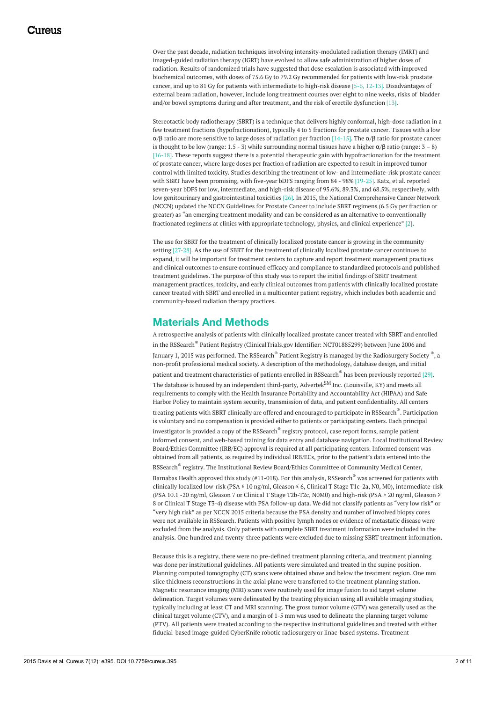Over the past decade, radiation techniques involving intensity-modulated radiation therapy (IMRT) and imaged-guided radiation therapy (IGRT) have evolved to allow safe administration of higher doses of radiation. Results of randomized trials have suggested that dose escalation is associated with improved biochemical outcomes, with doses of 75.6 Gy to 79.2 Gy recommended for patients with low-risk prostate cancer, and up to 81 Gy for patients with intermediate to high-risk disease [5-6, 12-13]. Disadvantages of external beam radiation, however, include long treatment courses over eight to nine weeks, risks of bladder and/or bowel symptoms during and after treatment, and the risk of erectile dysfunction [13].

Stereotactic body radiotherapy (SBRT) is a technique that delivers highly conformal, high-dose radiation in a few treatment fractions (hypofractionation), typically 4 to 5 fractions for prostate cancer. Tissues with a low α/β ratio are more sensitive to large doses of radiation per fraction [14-15]. The α/β ratio for prostate cancer is thought to be low (range: 1.5 - 3) while surrounding normal tissues have a higher α/β ratio (range:  $3 - 8$ ) [16-18]. These reports suggest there is a potential therapeutic gain with hypofractionation for the treatment of prostate cancer, where large doses per fraction of radiation are expected to result in improved tumor control with limited toxicity. Studies describing the treatment of low- and intermediate-risk prostate cancer with SBRT have been promising, with five-year bDFS ranging from 84 - 98% [19-25]. Katz, et al. reported seven-year bDFS for low, intermediate, and high-risk disease of 95.6%, 89.3%, and 68.5%, respectively, with low genitourinary and gastrointestinal toxicities [26]. In 2015, the National Comprehensive Cancer Network (NCCN) updated the NCCN Guidelines for Prostate Cancer to include SBRT regimens (6.5 Gy per fraction or greater) as "an emerging treatment modality and can be considered as an alternative to conventionally fractionated regimens at clinics with appropriate technology, physics, and clinical experience" [2].

The use for SBRT for the treatment of clinically localized prostate cancer is growing in the community setting [27-28]. As the use of SBRT for the treatment of clinically localized prostate cancer continues to expand, it will be important for treatment centers to capture and report treatment management practices and clinical outcomes to ensure continued efficacy and compliance to standardized protocols and published treatment guidelines. The purpose of this study was to report the initial findings of SBRT treatment management practices, toxicity, and early clinical outcomes from patients with clinically localized prostate cancer treated with SBRT and enrolled in a multicenter patient registry, which includes both academic and community-based radiation therapy practices.

### **Materials And Methods**

A retrospective analysis of patients with clinically localized prostate cancer treated with SBRT and enrolled in the RSSearch ® Patient Registry (ClinicalTrials.gov Identifier: NCT01885299) between June 2006 and January 1, 2015 was performed. The RSSearch® Patient Registry is managed by the Radiosurgery Society ®, a non-profit professional medical society. A description of the methodology, database design, and initial patient and treatment characteristics of patients enrolled in RSSearch® has been previously reported [29]. The database is housed by an independent third-party, Advertek $^{\rm SM}$  Inc. (Louisville, KY) and meets all requirements to comply with the Health Insurance Portability and Accountability Act (HIPAA) and Safe Harbor Policy to maintain system security, transmission of data, and patient confidentiality. All centers treating patients with SBRT clinically are offered and encouraged to participate in RSSearch ®. Participation is voluntary and no compensation is provided either to patients or participating centers. Each principal investigator is provided a copy of the RSSearch ® registry protocol, case report forms, sample patient informed consent, and web-based training for data entry and database navigation. Local Institutional Review Board/Ethics Committee (IRB/EC) approval is required at all participating centers. Informed consent was obtained from all patients, as required by individual IRB/ECs, prior to the patient's data entered into the RSSearch ® registry. The Institutional Review Board/Ethics Committee of Community Medical Center, Barnabas Health approved this study (#11-018). For this analysis, RSSearch $^\circ$  was screened for patients with clinically localized low-risk (PSA ≤ 10 ng/ml, Gleason ≤ 6, Clinical T Stage T1c-2a, N0, M0), intermediate-risk (PSA 10.1 -20 ng/ml, Gleason 7 or Clinical T Stage T2b-T2c, N0M0) and high-risk (PSA > 20 ng/ml, Gleason ≥ 8 or Clinical T Stage T3-4) disease with PSA follow-up data. We did not classify patients as "very low risk" or "very high risk" as per NCCN 2015 criteria because the PSA density and number of involved biopsy cores were not available in RSSearch. Patients with positive lymph nodes or evidence of metastatic disease were excluded from the analysis. Only patients with complete SBRT treatment information were included in the analysis. One hundred and twenty-three patients were excluded due to missing SBRT treatment information.

Because this is a registry, there were no pre-defined treatment planning criteria, and treatment planning was done per institutional guidelines. All patients were simulated and treated in the supine position. Planning computed tomography (CT) scans were obtained above and below the treatment region. One mm slice thickness reconstructions in the axial plane were transferred to the treatment planning station. Magnetic resonance imaging (MRI) scans were routinely used for image fusion to aid target volume delineation. Target volumes were delineated by the treating physician using all available imaging studies, typically including at least CT and MRI scanning. The gross tumor volume (GTV) was generally used as the clinical target volume (CTV), and a margin of 1-5 mm was used to delineate the planning target volume (PTV). All patients were treated according to the respective institutional guidelines and treated with either fiducial-based image-guided CyberKnife robotic radiosurgery or linac-based systems. Treatment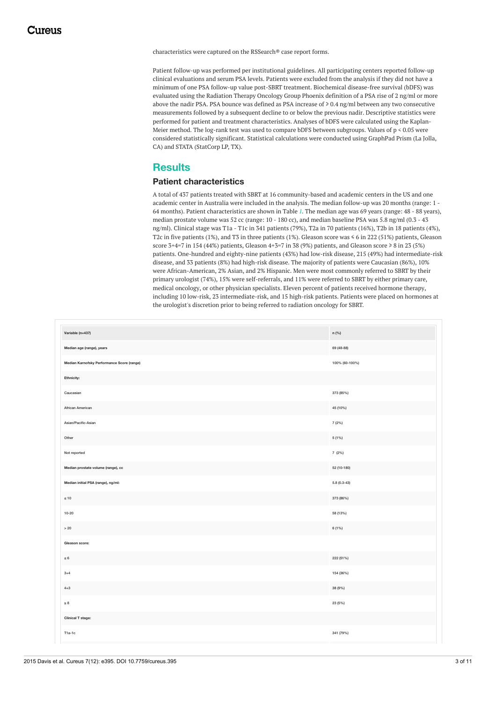characteristics were captured on the RSSearch® case report forms.

Patient follow-up was performed per institutional guidelines. All participating centers reported follow-up clinical evaluations and serum PSA levels. Patients were excluded from the analysis if they did not have a minimum of one PSA follow-up value post-SBRT treatment. Biochemical disease-free survival (bDFS) was evaluated using the Radiation Therapy Oncology Group Phoenix definition of a PSA rise of 2 ng/ml or more above the nadir PSA. PSA bounce was defined as PSA increase of ≥ 0.4 ng/ml between any two consecutive measurements followed by a subsequent decline to or below the previous nadir. Descriptive statistics were performed for patient and treatment characteristics. Analyses of bDFS were calculated using the Kaplan-Meier method. The log-rank test was used to compare bDFS between subgroups. Values of p < 0.05 were considered statistically significant. Statistical calculations were conducted using GraphPad Prism (La Jolla, CA) and STATA (StatCorp LP, TX).

### **Results**

#### **Patient characteristics**

A total of 437 patients treated with SBRT at 16 community-based and academic centers in the US and one academic center in Australia were included in the analysis. The median follow-up was 20 months (range: 1 - 64 months). Patient characteristics are shown in Table *[1](#page-2-0)*. The median age was 69 years (range: 48 - 88 years), median prostate volume was 52 cc (range: 10 - 180 cc), and median baseline PSA was 5.8 ng/ml (0.3 - 43 ng/ml). Clinical stage was T1a - T1c in 341 patients (79%), T2a in 70 patients (16%), T2b in 18 patients (4%), T2c in five patients (1%), and T3 in three patients (1%). Gleason score was ≤ 6 in 222 (51%) patients, Gleason score 3+4=7 in 154 (44%) patients, Gleason 4+3=7 in 38 (9%) patients, and Gleason score ≥ 8 in 23 (5%) patients. One-hundred and eighty-nine patients (43%) had low-risk disease, 215 (49%) had intermediate-risk disease, and 33 patients (8%) had high-risk disease. The majority of patients were Caucasian (86%), 10% were African-American, 2% Asian, and 2% Hispanic. Men were most commonly referred to SBRT by their primary urologist (74%), 15% were self-referrals, and 11% were referred to SBRT by either primary care, medical oncology, or other physician specialists. Eleven percent of patients received hormone therapy, including 10 low-risk, 23 intermediate-risk, and 15 high-risk patients. Patients were placed on hormones at the urologist's discretion prior to being referred to radiation oncology for SBRT.

<span id="page-2-0"></span>

| Variable (n=437)                           | n (%)          |
|--------------------------------------------|----------------|
| Median age (range), years                  | 69 (48-88)     |
| Median Karnofsky Performance Score (range) | 100% (60-100%) |
| Ethnicity:                                 |                |
| Caucasian                                  | 373 (85%)      |
| African American                           | 45 (10%)       |
| Asian/Pacific-Asian                        | 7 (2%)         |
| Other                                      | 5 (1%)         |
| Not reported                               | 7 (2%)         |
| Median prostate volume (range), cc         | 52 (10-180)    |
| Median initial PSA (range), ng/ml:         | $5.8(0.3-43)$  |
| $\leq 10$                                  | 373 (86%)      |
| $10 - 20$                                  | 58 (13%)       |
| $>20$                                      | 6 (1%)         |
| Gleason score:                             |                |
| $\leq 6$                                   | 222 (51%)      |
| $3 + 4$                                    | 154 (36%)      |
| $4 + 3$                                    | 38 (9%)        |
| $\geq 8$                                   | 23 (5%)        |
| <b>Clinical T stage:</b>                   |                |
| T1a-1c                                     | 341 (79%)      |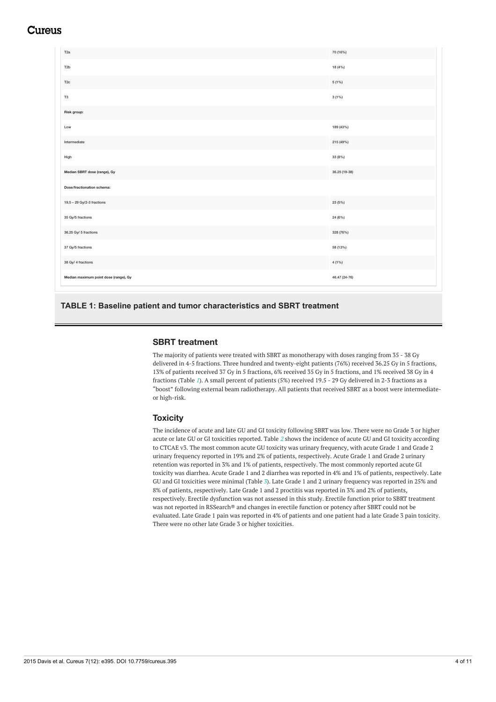### Cureus

| T <sub>2a</sub>                       | 70 (16%)      |
|---------------------------------------|---------------|
| T <sub>2</sub> b                      | 18 (4%)       |
| T <sub>2c</sub>                       | 5 (1%)        |
| T <sub>3</sub>                        | 3(1%)         |
| Risk group:                           |               |
| Low                                   | 189 (43%)     |
| Intermediate                          | 215 (49%)     |
| High                                  | 33 (8%)       |
| Median SBRT dose (range), Gy          | 36.25 (19-38) |
| Dose/fractionation schema:            |               |
| 19.5 - 29 Gy/2-3 fractions            | 23 (5%)       |
| 35 Gy/5 fractions                     | 24 (6%)       |
| 36.25 Gy/ 5 fractions                 | 328 (76%)     |
| 37 Gy/5 fractions                     | 58 (13%)      |
| 38 Gy/ 4 fractions                    | 4 (1%)        |
| Median maximum point dose (range), Gy | 46.47 (24-76) |

**TABLE 1: Baseline patient and tumor characteristics and SBRT treatment**

#### **SBRT treatment**

The majority of patients were treated with SBRT as monotherapy with doses ranging from 35 - 38 Gy delivered in 4-5 fractions. Three hundred and twenty-eight patients (76%) received 36.25 Gy in 5 fractions, 13% of patients received 37 Gy in 5 fractions, 6% received 35 Gy in 5 fractions, and 1% received 38 Gy in 4 fractions (Table *[1](#page-2-0)*). A small percent of patients (5%) received 19.5 - 29 Gy delivered in 2-3 fractions as a "boost" following external beam radiotherapy. All patients that received SBRT as a boost were intermediateor high-risk.

#### **Toxicity**

The incidence of acute and late GU and GI toxicity following SBRT was low. There were no Grade 3 or higher acute or late GU or GI toxicities reported. Table *[2](#page-4-0)* shows the incidence of acute GU and GI toxicity according to CTCAE v3. The most common acute GU toxicity was urinary frequency, with acute Grade 1 and Grade 2 urinary frequency reported in 19% and 2% of patients, respectively. Acute Grade 1 and Grade 2 urinary retention was reported in 3% and 1% of patients, respectively. The most commonly reported acute GI toxicity was diarrhea. Acute Grade 1 and 2 diarrhea was reported in 4% and 1% of patients, respectively. Late GU and GI toxicities were minimal (Table *[3](#page-4-1)*). Late Grade 1 and 2 urinary frequency was reported in 25% and 8% of patients, respectively. Late Grade 1 and 2 proctitis was reported in 3% and 2% of patients, respectively. Erectile dysfunction was not assessed in this study. Erectile function prior to SBRT treatment was not reported in RSSearch® and changes in erectile function or potency after SBRT could not be evaluated. Late Grade 1 pain was reported in 4% of patients and one patient had a late Grade 3 pain toxicity. There were no other late Grade 3 or higher toxicities.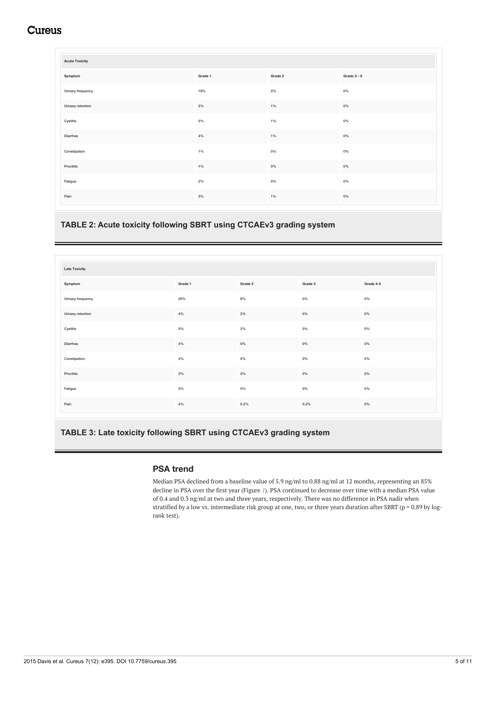## **Cureus**

<span id="page-4-0"></span>

| <b>Acute Toxicity</b> |         |         |             |
|-----------------------|---------|---------|-------------|
| Symptom               | Grade 1 | Grade 2 | Grade $3-5$ |
| Urinary frequency     | 19%     | 2%      | $0\%$       |
| Urinary retention     | 3%      | $1\%$   | $0\%$       |
| Cystitis              | 3%      | $1\%$   | $0\%$       |
| Diarrhea              | 4%      | $1\%$   | $0\%$       |
| Constipation          | $1\%$   | $0\%$   | $0\%$       |
| Proctitis             | $1\%$   | $0\%$   | $0\%$       |
| Fatigue               | 2%      | $0\%$   | $0\%$       |
| Pain                  | 3%      | $1\%$   | $0\%$       |

#### **TABLE 2: Acute toxicity following SBRT using CTCAEv3 grading system**

<span id="page-4-1"></span>

| <b>Late Toxicity</b> |         |         |         |           |
|----------------------|---------|---------|---------|-----------|
| Symptom              | Grade 1 | Grade 2 | Grade 3 | Grade 4-5 |
| Urinary frequency    | 25%     | $8\%$   | $0\%$   | $0\%$     |
| Urinary retention    | 4%      | 2%      | $0\%$   | $0\%$     |
| Cystitis             | $5\%$   | $2\%$   | $0\%$   | $0\%$     |
| Diarrhea             | 4%      | $0\%$   | $0\%$   | $0\%$     |
| Constipation         | 3%      | $0\%$   | $0\%$   | $0\%$     |
| Proctitis            | 3%      | $2\%$   | $0\%$   | $0\%$     |
| Fatigue              | 3%      | $0\%$   | $0\%$   | $0\%$     |
| Pain                 | 4%      | 0.2%    | 0.2%    | $0\%$     |

#### **TABLE 3: Late toxicity following SBRT using CTCAEv3 grading system**

#### **PSA trend**

Median PSA declined from a baseline value of 5.9 ng/ml to 0.88 ng/ml at 12 months, representing an 85% decline in PSA over the first year (Figure *[1](#page-5-0)*). PSA continued to decrease over time with a median PSA value of 0.4 and 0.3 ng/ml at two and three years, respectively. There was no difference in PSA nadir when stratified by a low vs. intermediate risk group at one, two, or three years duration after SBRT ( $p = 0.89$  by logrank test).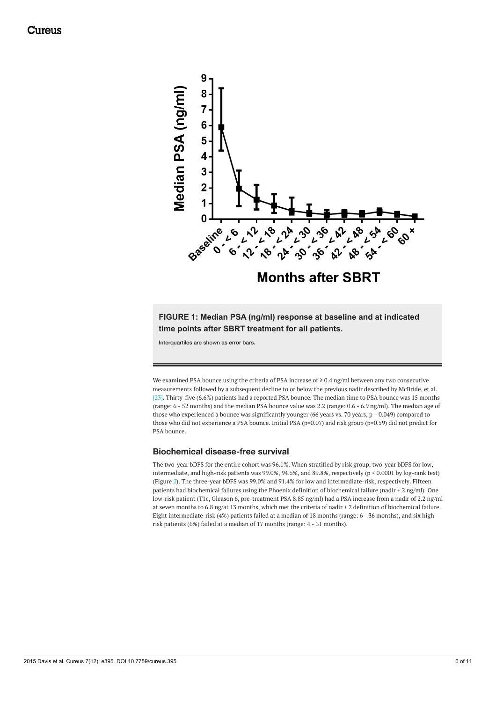<span id="page-5-0"></span>

**FIGURE 1: Median PSA (ng/ml) response at baseline and at indicated time points after SBRT treatment for all patients.**

Interquartiles are shown as error bars.

We examined PSA bounce using the criteria of PSA increase of ≥ 0.4 ng/ml between any two consecutive measurements followed by a subsequent decline to or below the previous nadir described by McBride, et al. [23]. Thirty-five (6.6%) patients had a reported PSA bounce. The median time to PSA bounce was 15 months (range: 6 - 52 months) and the median PSA bounce value was 2.2 (range: 0.6 - 6.9 ng/ml). The median age of those who experienced a bounce was significantly younger (66 years vs. 70 years, p = 0.049) compared to those who did not experience a PSA bounce. Initial PSA (p=0.07) and risk group (p=0.59) did not predict for PSA bounce.

#### **Biochemical disease-free survival**

The two-year bDFS for the entire cohort was 96.1%. When stratified by risk group, two-year bDFS for low, intermediate, and high-risk patients was 99.0%, 94.5%, and 89.8%, respectively (p < 0.0001 by log-rank test) (Figure *[2](#page-6-0)*). The three-year bDFS was 99.0% and 91.4% for low and intermediate-risk, respectively. Fifteen patients had biochemical failures using the Phoenix definition of biochemical failure (nadir + 2 ng/ml). One low-risk patient (T1c, Gleason 6, pre-treatment PSA 8.85 ng/ml) had a PSA increase from a nadir of 2.2 ng/ml at seven months to 6.8 ng/at 13 months, which met the criteria of nadir + 2 definition of biochemical failure. Eight intermediate-risk (4%) patients failed at a median of 18 months (range: 6 - 36 months), and six highrisk patients (6%) failed at a median of 17 months (range: 4 - 31 months).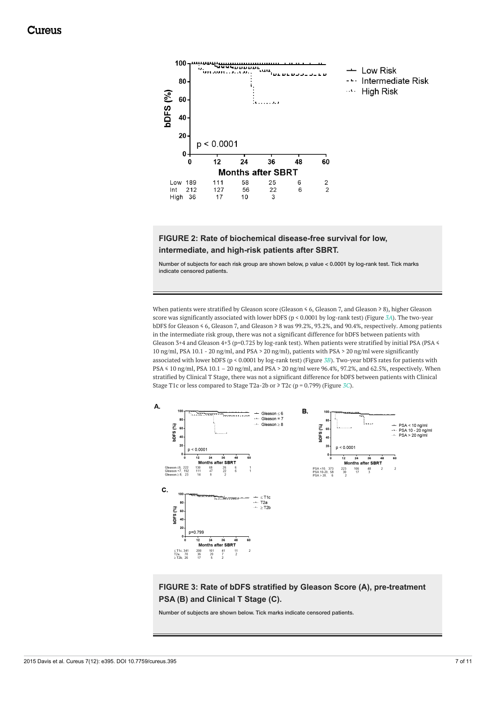<span id="page-6-0"></span>

**FIGURE 2: Rate of biochemical disease-free survival for low, intermediate, and high-risk patients after SBRT.**

Number of subjects for each risk group are shown below, p value < 0.0001 by log-rank test. Tick marks indicate censored patients.

When patients were stratified by Gleason score (Gleason ≤ 6, Gleason 7, and Gleason ≥ 8), higher Gleason score was significantly associated with lower bDFS (p < 0.0001 by log-rank test) (Figure *[3A](#page-6-1)*). The two-year bDFS for Gleason ≤ 6, Gleason 7, and Gleason ≥ 8 was 99.2%, 93.2%, and 90.4%, respectively. Among patients in the intermediate risk group, there was not a significant difference for bDFS between patients with Gleason 3+4 and Gleason 4+3 (p=0.725 by log-rank test). When patients were stratified by initial PSA (PSA  $\leq$ 10 ng/ml, PSA 10.1 - 20 ng/ml, and PSA > 20 ng/ml), patients with PSA > 20 ng/ml were significantly associated with lower bDFS (p < 0.0001 by log-rank test) (Figure *[3B](#page-6-1)*). Two-year bDFS rates for patients with PSA ≤ 10 ng/ml, PSA 10.1 – 20 ng/ml, and PSA > 20 ng/ml were 96.4%, 97.2%, and 62.5%, respectively. When stratified by Clinical T Stage, there was not a significant difference for bDFS between patients with Clinical Stage T1c or less compared to Stage T2a-2b or ≥ T2c (p = 0.799) (Figure *[3C](#page-6-1)*).

<span id="page-6-1"></span>

**FIGURE 3: Rate of bDFS stratified by Gleason Score (A), pre-treatment PSA (B) and Clinical T Stage (C).**

Number of subjects are shown below. Tick marks indicate censored patients.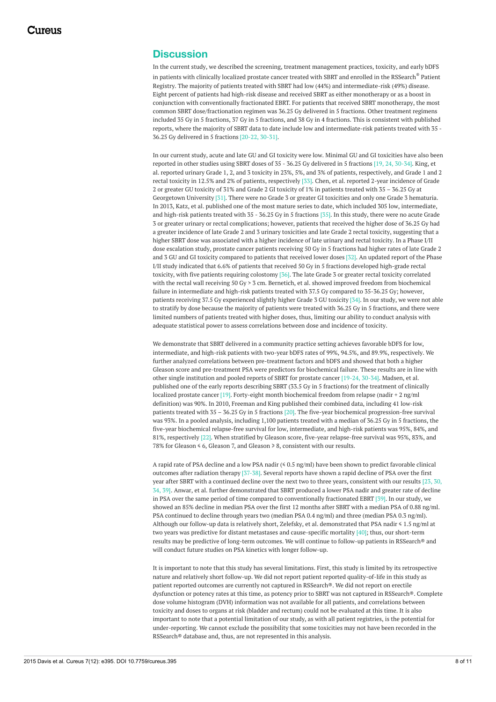### **Discussion**

In the current study, we described the screening, treatment management practices, toxicity, and early bDFS in patients with clinically localized prostate cancer treated with SBRT and enrolled in the RSSearch  $^\circ$  Patient Registry. The majority of patients treated with SBRT had low (44%) and intermediate-risk (49%) disease. Eight percent of patients had high-risk disease and received SBRT as either monotherapy or as a boost in conjunction with conventionally fractionated EBRT. For patients that received SBRT monotherapy, the most common SBRT dose/fractionation regimen was 36.25 Gy delivered in 5 fractions. Other treatment regimens included 35 Gy in 5 fractions, 37 Gy in 5 fractions, and 38 Gy in 4 fractions. This is consistent with published reports, where the majority of SBRT data to date include low and intermediate-risk patients treated with 35 - 36.25 Gy delivered in 5 fractions [20-22, 30-31].

In our current study, acute and late GU and GI toxicity were low. Minimal GU and GI toxicities have also been reported in other studies using SBRT doses of 35 - 36.25 Gy delivered in 5 fractions [19, 24, 30-34]. King, et al. reported urinary Grade 1, 2, and 3 toxicity in 23%, 5%, and 3% of patients, respectively, and Grade 1 and 2 rectal toxicity in 12.5% and 2% of patients, respectively [33]. Chen, et al. reported 2-year incidence of Grade 2 or greater GU toxicity of 31% and Grade 2 GI toxicity of 1% in patients treated with 35 – 36.25 Gy at Georgetown University [31]. There were no Grade 3 or greater GI toxicities and only one Grade 3 hematuria. In 2013, Katz, et al. published one of the most mature series to date, which included 305 low, intermediate, and high-risk patients treated with 35 - 36.25 Gy in 5 fractions [35]. In this study, there were no acute Grade 3 or greater urinary or rectal complications; however, patients that received the higher dose of 36.25 Gy had a greater incidence of late Grade 2 and 3 urinary toxicities and late Grade 2 rectal toxicity, suggesting that a higher SBRT dose was associated with a higher incidence of late urinary and rectal toxicity. In a Phase I/II dose escalation study, prostate cancer patients receiving 50 Gy in 5 fractions had higher rates of late Grade 2 and 3 GU and GI toxicity compared to patients that received lower doses [32]. An updated report of the Phase I/II study indicated that 6.6% of patients that received 50 Gy in 5 fractions developed high-grade rectal toxicity, with five patients requiring colostomy [36]. The late Grade 3 or greater rectal toxicity correlated with the rectal wall receiving 50 Gy > 3 cm. Bernetich, et al. showed improved freedom from biochemical failure in intermediate and high-risk patients treated with 37.5 Gy compared to 35-36.25 Gy; however, patients receiving 37.5 Gy experienced slightly higher Grade 3 GU toxicity [34]. In our study, we were not able to stratify by dose because the majority of patients were treated with 36.25 Gy in 5 fractions, and there were limited numbers of patients treated with higher doses, thus, limiting our ability to conduct analysis with adequate statistical power to assess correlations between dose and incidence of toxicity.

We demonstrate that SBRT delivered in a community practice setting achieves favorable bDFS for low, intermediate, and high-risk patients with two-year bDFS rates of 99%, 94.5%, and 89.9%, respectively. We further analyzed correlations between pre-treatment factors and bDFS and showed that both a higher Gleason score and pre-treatment PSA were predictors for biochemical failure. These results are in line with other single institution and pooled reports of SBRT for prostate cancer [19-24, 30-34]. Madsen, et al. published one of the early reports describing SBRT (33.5 Gy in 5 fractions) for the treatment of clinically localized prostate cancer [19]. Forty-eight month biochemical freedom from relapse (nadir + 2 ng/ml definition) was 90%. In 2010, Freeman and King published their combined data, including 41 low-risk patients treated with 35 – 36.25 Gy in 5 fractions [20]. The five-year biochemical progression-free survival was 93%. In a pooled analysis, including 1,100 patients treated with a median of 36.25 Gy in 5 fractions, the five-year biochemical relapse-free survival for low, intermediate, and high-risk patients was 95%, 84%, and 81%, respectively [22]. When stratified by Gleason score, five-year relapse-free survival was 95%, 83%, and 78% for Gleason ≤ 6, Gleason 7, and Gleason ≥ 8, consistent with our results.

A rapid rate of PSA decline and a low PSA nadir (≤ 0.5 ng/ml) have been shown to predict favorable clinical outcomes after radiation therapy [37-38]. Several reports have shown a rapid decline of PSA over the first year after SBRT with a continued decline over the next two to three years, consistent with our results [23, 30, 34, 39]. Anwar, et al. further demonstrated that SBRT produced a lower PSA nadir and greater rate of decline in PSA over the same period of time compared to conventionally fractionated EBRT [39]. In our study, we showed an 85% decline in median PSA over the first 12 months after SBRT with a median PSA of 0.88 ng/ml. PSA continued to decline through years two (median PSA 0.4 ng/ml) and three (median PSA 0.3 ng/ml). Although our follow-up data is relatively short, Zelefsky, et al. demonstrated that PSA nadir ≤ 1.5 ng/ml at two years was predictive for distant metastases and cause-specific mortality [40]; thus, our short-term results may be predictive of long-term outcomes. We will continue to follow-up patients in RSSearch® and will conduct future studies on PSA kinetics with longer follow-up.

It is important to note that this study has several limitations. First, this study is limited by its retrospective nature and relatively short follow-up. We did not report patient reported quality-of-life in this study as patient reported outcomes are currently not captured in RSSearch®. We did not report on erectile dysfunction or potency rates at this time, as potency prior to SBRT was not captured in RSSearch®. Complete dose volume histogram (DVH) information was not available for all patients, and correlations between toxicity and doses to organs at risk (bladder and rectum) could not be evaluated at this time. It is also important to note that a potential limitation of our study, as with all patient registries, is the potential for under-reporting. We cannot exclude the possibility that some toxicities may not have been recorded in the RSSearch® database and, thus, are not represented in this analysis.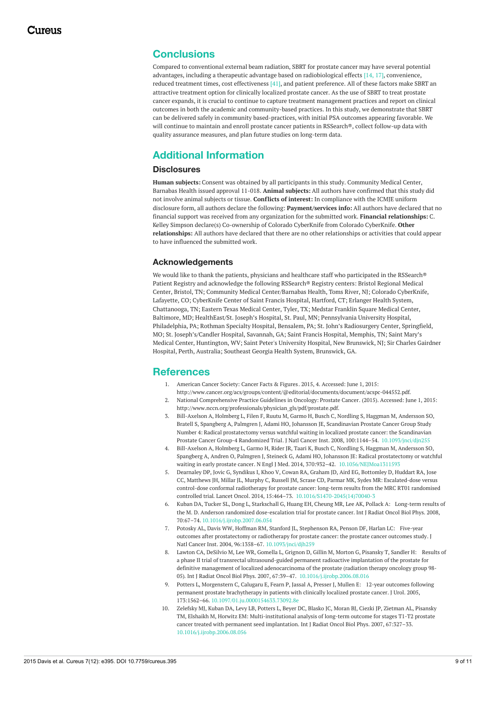#### **Conclusions**

Compared to conventional external beam radiation, SBRT for prostate cancer may have several potential advantages, including a therapeutic advantage based on radiobiological effects [14, 17], convenience, reduced treatment times, cost effectiveness [41], and patient preference. All of these factors make SBRT an attractive treatment option for clinically localized prostate cancer. As the use of SBRT to treat prostate cancer expands, it is crucial to continue to capture treatment management practices and report on clinical outcomes in both the academic and community-based practices. In this study, we demonstrate that SBRT can be delivered safely in community based-practices, with initial PSA outcomes appearing favorable. We will continue to maintain and enroll prostate cancer patients in RSSearch®, collect follow-up data with quality assurance measures, and plan future studies on long-term data.

### **Additional Information**

#### **Disclosures**

**Human subjects:** Consent was obtained by all participants in this study. Community Medical Center, Barnabas Health issued approval 11-018. **Animal subjects:** All authors have confirmed that this study did not involve animal subjects or tissue. **Conflicts of interest:** In compliance with the ICMJE uniform disclosure form, all authors declare the following: **Payment/services info:** All authors have declared that no financial support was received from any organization for the submitted work. **Financial relationships:** C. Kelley Simpson declare(s) Co-ownership of Colorado CyberKnife from Colorado CyberKnife. **Other relationships:** All authors have declared that there are no other relationships or activities that could appear to have influenced the submitted work.

#### **Acknowledgements**

We would like to thank the patients, physicians and healthcare staff who participated in the RSSearch® Patient Registry and acknowledge the following RSSearch® Registry centers: Bristol Regional Medical Center, Bristol, TN; Community Medical Center/Barnabas Health, Toms River, NJ; Colorado CyberKnife, Lafayette, CO; CyberKnife Center of Saint Francis Hospital, Hartford, CT; Erlanger Health System, Chattanooga, TN; Eastern Texas Medical Center, Tyler, TX; Medstar Franklin Square Medical Center, Baltimore, MD; HealthEast/St. Joseph's Hospital, St. Paul, MN; Pennsylvania University Hospital, Philadelphia, PA; Rothman Specialty Hospital, Bensalem, PA; St. John's Radiosurgery Center, Springfield, MO; St. Joseph's/Candler Hospital, Savannah, GA; Saint Francis Hospital, Memphis, TN; Saint Mary's Medical Center, Huntington, WV; Saint Peter's University Hospital, New Brunswick, NJ; Sir Charles Gairdner Hospital, Perth, Australia; Southeast Georgia Health System, Brunswick, GA.

#### **References**

- 1. American Cancer Society: Cancer Facts & [Figures.](http://www.cancer.org/acs/groups/content/@editorial/documents/document/acspc-044552.pdf) 2015, 4. Accessed: June 1, 2015: <http://www.cancer.org/acs/groups/content/@editorial/documents/document/acspc-044552.pdf>.
- 2. National [Comprehensive](http://www.nccn.org/professionals/physician_gls/pdf/prostate.pdf) Practice Guidelines in Oncology: Prostate Cancer. (2015). Accessed: June 1, 2015: [http://www.nccn.org/professionals/physician\\_gls/pdf/prostate.pdf](http://www.nccn.org/professionals/physician_gls/pdf/prostate.pdf).
- 3. Bill-Axelson A, Holmberg L, Filen F, Ruutu M, Garmo H, Busch C, Nordling S, Haggman M, Andersson SO, Bratell S, Spangberg A, Palmgren J, Adami HO, Johansson JE, Scandinavian Prostate Cancer Group Study Number 4: Radical prostatectomy versus watchful waiting in localized prostate cancer: the Scandinavian Prostate Cancer Group-4 Randomized Trial. J Natl Cancer Inst. 2008, 100:1144–54. [10.1093/jnci/djn255](https://dx.doi.org/10.1093/jnci/djn255)
- 4. Bill-Axelson A, Holmberg L, Garmo H, Rider JR, Taari K, Busch C, Nordling S, Haggman M, Andersson SO, Spangberg A, Andren O, Palmgren J, Steineck G, Adami HO, Johansson JE: Radical prostatectomy or watchful waiting in early prostate cancer. N Engl J Med. 2014, 370:932–42. [10.1056/NEJMoa1311593](https://dx.doi.org/10.1056/NEJMoa1311593)
- 5. Dearnaley DP, Jovic G, Syndikus I, Khoo V, Cowan RA, Graham JD, Aird EG, Bottomley D, Huddart RA, Jose CC, Matthews JH, Millar JL, Murphy C, Russell JM, Scrase CD, Parmar MK, Sydes MR: Escalated-dose versus control-dose conformal radiotherapy for prostate cancer: long-term results from the MRC RT01 randomised controlled trial. Lancet Oncol. 2014, 15:464–73. [10.1016/S1470-2045\(14\)70040-3](https://dx.doi.org/10.1016/S1470-2045(14)70040-3)
- 6. Kuban DA, Tucker SL, Dong L, Starkschall G, Huang EH, Cheung MR, Lee AK, Pollack A: Long-term results of the M. D. Anderson randomized [dose-escalation](https://dx.doi.org/10.1016/j.ijrobp.2007.06.054) trial for prostate cancer. Int J Radiat Oncol Biol Phys. 2008, 70:67–74. [10.1016/j.ijrobp.2007.06.054](https://dx.doi.org/10.1016/j.ijrobp.2007.06.054)
- 7. Potosky AL, Davis WW, Hoffman RM, Stanford JL, Stephenson RA, Penson DF, Harlan LC: Five-year outcomes after [prostatectomy](https://dx.doi.org/10.1093/jnci/djh259) or radiotherapy for prostate cancer: the prostate cancer outcomes study. J Natl Cancer Inst. 2004, 96:1358–67. [10.1093/jnci/djh259](https://dx.doi.org/10.1093/jnci/djh259)
- 8. Lawton CA, DeSilvio M, Lee WR, Gomella L, Grignon D, Gillin M, Morton G, Pisansky T, Sandler H: Results of a phase II trial of transrectal ultrasound-guided permanent radioactive implantation of the prostate for definitive management of localized adenocarcinoma of the prostate (radiation therapy oncology group 98- 05). Int J Radiat Oncol Biol Phys. 2007, 67:39–47. [10.1016/j.ijrobp.2006.08.016](https://dx.doi.org/10.1016/j.ijrobp.2006.08.016)
- 9. Potters L, Morgenstern C, Calugaru E, Fearn P, Jassal A, Presser J, Mullen E: 12-year outcomes following permanent prostate [brachytherapy](https://dx.doi.org/10.1097/01.ju.0000154633.73092.8e) in patients with clinically localized prostate cancer. J Urol. 2005, 173:1562–66. [10.1097/01.ju.0000154633.73092.8e](https://dx.doi.org/10.1097/01.ju.0000154633.73092.8e)
- 10. Zelefsky MJ, Kuban DA, Levy LB, Potters L, Beyer DC, Blasko JC, Moran BJ, Ciezki JP, Zietman AL, Pisansky TM, Elshaikh M, Horwitz EM: [Multi-institutional](https://dx.doi.org/10.1016/j.ijrobp.2006.08.056) analysis of long-term outcome for stages T1-T2 prostate cancer treated with permanent seed implantation. Int J Radiat Oncol Biol Phys. 2007, 67:327–33. [10.1016/j.ijrobp.2006.08.056](https://dx.doi.org/10.1016/j.ijrobp.2006.08.056)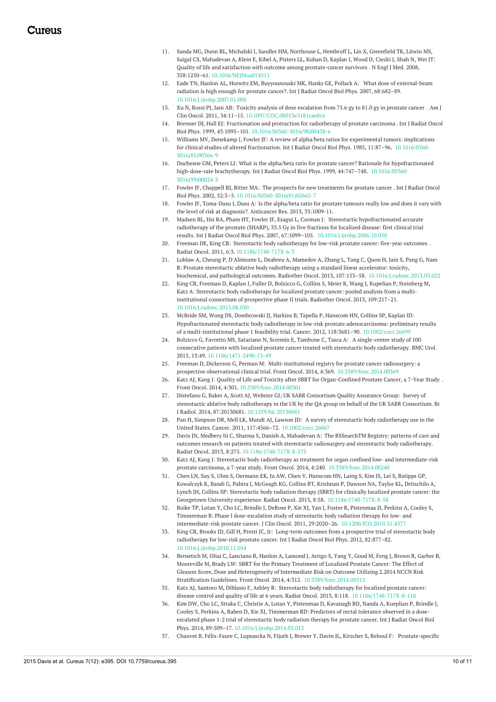- 11. Sanda MG, Dunn RL, Michalski J, Sandler HM, Northouse L, Hembroff L, Lin X, Greenfield TK, Litwin MS, Saigal CS, Mahadevan A, Klein E, Kibel A, Pisters LL, Kuban D, Kaplan I, Wood D, Ciezki J, Shah N, Wei JT: Quality of life and satisfaction with outcome among [prostate-cancer](https://dx.doi.org/10.1056/NEJMoa074311) survivors . N Engl J Med. 2008, 358:1250–61. [10.1056/NEJMoa074311](https://dx.doi.org/10.1056/NEJMoa074311)
- 12. Eade TN, Hanlon AL, Horwitz EM, Buyyounouski MK, Hanks GE, Pollack A: What dose of [external-beam](https://dx.doi.org/10.1016/j.ijrobp.2007.01.008) radiation is high enough for prostate cancer?. Int J Radiat Oncol Biol Phys. 2007, 68:682–89. [10.1016/j.ijrobp.2007.01.008](https://dx.doi.org/10.1016/j.ijrobp.2007.01.008)
- 13. Xu N, Rossi PJ, Jani AB: Toxicity analysis of dose [escalation](https://dx.doi.org/10.1097/COC.0b013e3181cae8c6) from 75.6 gy to 81.0 gy in prostate cancer, Am J Clin Oncol. 2011, 34:11–15. [10.1097/COC.0b013e3181cae8c6](https://dx.doi.org/10.1097/COC.0b013e3181cae8c6)
- 14. Brenner DJ, Hall EJ: [Fractionation](https://dx.doi.org/10.1016/S0360-3016(98)00438-6) and protraction for radiotherapy of prostate carcinoma . Int J Radiat Oncol Biol Phys. 1999, 43:1095–101. [10.1016/S0360-3016\(98\)00438-6](https://dx.doi.org/10.1016/S0360-3016(98)00438-6)
- 15. Williams MV, Denekamp J, Fowler JF: A review of alpha/beta ratios for experimental tumors: implications for clinical studies of altered fractionation. Int J Radiat Oncol Biol Phys. 1985, 11:87–96. [10.1016/0360-](https://dx.doi.org/10.1016/0360-3016(85)90366-9) [3016\(85\)90366-9](https://dx.doi.org/10.1016/0360-3016(85)90366-9)
- 16. Duchesne GM, Peters LJ: What is the alpha/beta ratio for prostate cancer? Rationale for [hypofractionated](https://dx.doi.org/10.1016/S0360-3016(99)00024-3) high-dose-rate brachytherapy. Int J Radiat Oncol Biol Phys. 1999, 44:747-748. 10.1016/S0360-[3016\(99\)00024-3](https://dx.doi.org/10.1016/S0360-3016(99)00024-3)
- 17. Fowler JF, Chappell RJ, Ritter MA: The prospects for new [treatments](https://dx.doi.org/10.1016/S0360-3016(01)02665-7) for prostate cancer . Int J Radiat Oncol Biol Phys. 2002, 52:3–5. [10.1016/S0360-3016\(01\)02665-7](https://dx.doi.org/10.1016/S0360-3016(01)02665-7)
- 18. Fowler JF, Toma-Dasu I, Dasu A: Is the alpha/beta ratio for prostate tumours really low and does it vary with the level of risk at diagnosis?. Anticancer Res. 2013, [33:1009-11.](https://scholar.google.com/scholar?q=intitle:Is the alpha%2Fbeta ratio for prostate tumours really low and does it vary with the level of risk at diagnosis%3F)
- 19. Madsen BL, Hsi RA, Pham HT, Fowler JF, Esagui L, Corman J: Stereotactic hypofractionated accurate radiotherapy of the prostate (SHARP), 33.5 Gy in five fractions for localized disease: first clinical trial results. Int J Radiat Oncol Biol Phys. 2007, 67:1099–105. [10.1016/j.ijrobp.2006.10.050](https://dx.doi.org/10.1016/j.ijrobp.2006.10.050)
- 20. Freeman DE, King CR: Stereotactic body [radiotherapy](https://dx.doi.org/10.1186/1748-717X-6-3) for low-risk prostate cancer: five-year outcomes . Radiat Oncol. 2011, 6:3. [10.1186/1748-717X-6-3](https://dx.doi.org/10.1186/1748-717X-6-3)
- 21. Loblaw A, Cheung P, D'Alimonte L, Deabreu A, Mamedov A, Zhang L, Tang C, Quon H, Jain S, Pang G, Nam R: Prostate stereotactic ablative body radiotherapy using a standard linear accelerator: toxicity, biochemical, and pathological outcomes. Radiother Oncol. 2013, 107:153–58. [10.1016/j.radonc.2013.03.022](https://dx.doi.org/10.1016/j.radonc.2013.03.022)
- 22. King CR, Freeman D, Kaplan I, Fuller D, Bolzicco G, Collins S, Meier R, Wang J, Kupelian P, Steinberg M, Katz A: Stereotactic body [radiotherapy](https://dx.doi.org/10.1016/j.radonc.2013.08.030) for localized prostate cancer: pooled analysis from a multiinstitutional consortium of prospective phase II trials. Radiother Oncol. 2013, 109:217–21. [10.1016/j.radonc.2013.08.030](https://dx.doi.org/10.1016/j.radonc.2013.08.030)
- 23. McBride SM, Wong DS, Dombrowski JJ, Harkins B, Tapella P, Hanscom HN, Collins SP, Kaplan ID: Hypofractionated stereotactic body radiotherapy in low-risk prostate adenocarcinoma: preliminary results of a multi-institutional phase 1 feasibility trial. Cancer. 2012, 118:3681–90. [10.1002/cncr.26699](https://dx.doi.org/10.1002/cncr.26699)
- 24. Bolzicco G, Favretto MS, Satariano N, Scremin E, Tambone C, Tasca A: A single-center study of 100 consecutive patients with localized prostate cancer treated with stereotactic body [radiotherapy.](https://dx.doi.org/10.1186/1471-2490-13-49) BMC Urol. 2013, 13:49. [10.1186/1471-2490-13-49](https://dx.doi.org/10.1186/1471-2490-13-49)
- 25. Freeman D, Dickerson G, Perman M: Multi-institutional registry for prostate cancer radiosurgery: a prospective observational clinical trial. Front Oncol. 2014, 4:369. [10.3389/fonc.2014.00369](https://dx.doi.org/10.3389/fonc.2014.00369)
- 26. Katz AJ, Kang J: Quality of Life and Toxicity after SBRT for [Organ-Confined](https://dx.doi.org/10.3389/fonc.2014.00301) Prostate Cancer, a 7-Year Study . Front Oncol. 2014, 4:301. [10.3389/fonc.2014.00301](https://dx.doi.org/10.3389/fonc.2014.00301)
- 27. Distefano G, Baker A, Scott AJ, Webster GJ; UK SABR Consortium Quality Assurance Group: Survey of stereotactic ablative body [radiotherapy](https://dx.doi.org/10.1259/bjr.20130681) in the UK by the QA group on behalf of the UK SABR Consortium. Br J Radiol. 2014, 87:20130681. [10.1259/bjr.20130681](https://dx.doi.org/10.1259/bjr.20130681)
- 28. Pan H, Simpson DR, Mell LK, Mundt AJ, Lawson JD: A survey of stereotactic body radiotherapy use in the United States. Cancer. 2011, 117:4566–72. [10.1002/cncr.26067](https://dx.doi.org/10.1002/cncr.26067)
- 29. Davis JN, Medbery Iii C, Sharma S, Danish A, Mahadevan A: The RSSearchTM Registry: patterns of care and outcomes research on patients treated with stereotactic radiosurgery and stereotactic body [radiotherapy.](https://dx.doi.org/10.1186/1748-717X-8-275) Radiat Oncol. 2013, 8:275. [10.1186/1748-717X-8-275](https://dx.doi.org/10.1186/1748-717X-8-275)
- 30. Katz AJ, Kang J: Stereotactic body radiotherapy as treatment for organ confined low- and intermediate-risk prostate carcinoma, a 7-year study. Front Oncol. 2014, 4:240. [10.3389/fonc.2014.00240](https://dx.doi.org/10.3389/fonc.2014.00240)
- 31. Chen LN, Suy S, Uhm S, Oermann EK, Ju AW, Chen V, Hanscom HN, Laing S, Kim JS, Lei S, Batipps GP, Kowalczyk K, Bandi G, Pahira J, McGeagh KG, Collins BT, Krishnan P, Dawson NA, Taylor KL, Dritschilo A, Lynch JH, Collins SP: Stereotactic body radiation therapy (SBRT) for clinically localized prostate cancer: the Georgetown University experience. Radiat Oncol. 2013, 8:58. [10.1186/1748-717X-8-58](https://dx.doi.org/10.1186/1748-717X-8-58)
- 32. Boike TP, Lotan Y, Cho LC, Brindle J, DeRose P, Xie XJ, Yan J, Foster R, Pistenmaa D, Perkins A, Cooley S, Timmerman R: Phase I dose-escalation study of stereotactic body radiation therapy for low- and intermediate-risk prostate cancer. J Clin Oncol. 2011, 29:2020–26. [10.1200/JCO.2010.31.4377](https://dx.doi.org/10.1200/JCO.2010.31.4377)
- 33. King CR, Brooks JD, Gill H, Presti JC, Jr: Long-term outcomes from a prospective trial of stereotactic body [radiotherapy](https://dx.doi.org/10.1016/j.ijrobp.2010.11.054) for low-risk prostate cancer. Int J Radiat Oncol Biol Phys. 2012, 82:877–82. [10.1016/j.ijrobp.2010.11.054](https://dx.doi.org/10.1016/j.ijrobp.2010.11.054)
- 34. Bernetich M, Oliai C, Lanciano R, Hanlon A, Lamond J, Arrigo S, Yang Y, Good M, Feng J, Brown R, Garber B, Mooreville M, Brady LW: SBRT for the Primary Treatment of Localized Prostate Cancer: The Effect of Gleason Score, Dose and Heterogeneity of Intermediate Risk on Outcome Utilizing 2.2014 NCCN Risk Stratification Guidelines. Front Oncol. 2014, 4:312. [10.3389/fonc.2014.00312](https://dx.doi.org/10.3389/fonc.2014.00312)
- 35. Katz AJ, Santoro M, Diblasio F, Ashley R: Stereotactic body radiotherapy for localized prostate cancer: disease control and quality of life at 6 years. Radiat Oncol. 2013, 8:118. [10.1186/1748-717X-8-118](https://dx.doi.org/10.1186/1748-717X-8-118)
- 36. Kim DW, Cho LC, Straka C, Christie A, Lotan Y, Pistenmaa D, Kavanagh BD, Nanda A, Kueplian P, Brindle J, Cooley S, Perkins A, Raben D, Xie XJ, [Timmerman](https://dx.doi.org/10.1016/j.ijrobp.2014.03.012) RD: Predictors of rectal tolerance observed in a doseescalated phase 1-2 trial of stereotactic body radiation therapy for prostate cancer. Int J Radiat Oncol Biol Phys. 2014, 89:509–17. [10.1016/j.ijrobp.2014.03.012](https://dx.doi.org/10.1016/j.ijrobp.2014.03.012)
- 37. Chauvet B, Félix-Faure C, Lupsascka N, Fijuth J, Brewer Y, Davin JL, Kirscher S, Reboul F: [Prostate-specific](https://scholar.google.com/scholar?q=intitle:Prostate-specific antigen decline%3A a major prognostic factor for prostate cancer treated with radiation therapy)